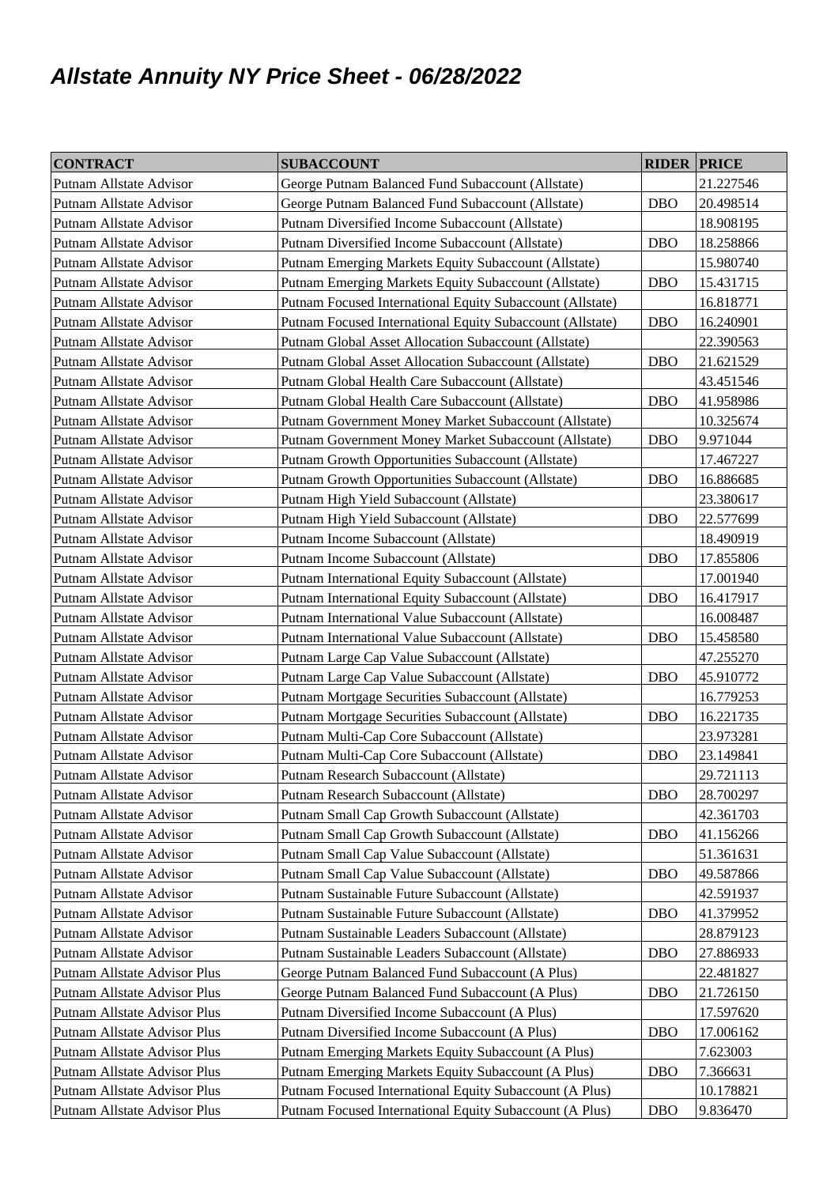## **Allstate Annuity NY Price Sheet - 06/28/2022**

| <b>CONTRACT</b>                | <b>SUBACCOUNT</b>                                         | <b>RIDER PRICE</b> |           |
|--------------------------------|-----------------------------------------------------------|--------------------|-----------|
| Putnam Allstate Advisor        | George Putnam Balanced Fund Subaccount (Allstate)         |                    | 21.227546 |
| Putnam Allstate Advisor        | George Putnam Balanced Fund Subaccount (Allstate)         | <b>DBO</b>         | 20.498514 |
| Putnam Allstate Advisor        | Putnam Diversified Income Subaccount (Allstate)           |                    | 18.908195 |
| Putnam Allstate Advisor        | Putnam Diversified Income Subaccount (Allstate)           | <b>DBO</b>         | 18.258866 |
| Putnam Allstate Advisor        | Putnam Emerging Markets Equity Subaccount (Allstate)      |                    | 15.980740 |
| Putnam Allstate Advisor        | Putnam Emerging Markets Equity Subaccount (Allstate)      | <b>DBO</b>         | 15.431715 |
| Putnam Allstate Advisor        | Putnam Focused International Equity Subaccount (Allstate) |                    | 16.818771 |
| <b>Putnam Allstate Advisor</b> | Putnam Focused International Equity Subaccount (Allstate) | <b>DBO</b>         | 16.240901 |
| Putnam Allstate Advisor        | Putnam Global Asset Allocation Subaccount (Allstate)      |                    | 22.390563 |
| Putnam Allstate Advisor        | Putnam Global Asset Allocation Subaccount (Allstate)      | <b>DBO</b>         | 21.621529 |
| Putnam Allstate Advisor        | Putnam Global Health Care Subaccount (Allstate)           |                    | 43.451546 |
| Putnam Allstate Advisor        | Putnam Global Health Care Subaccount (Allstate)           | <b>DBO</b>         | 41.958986 |
| Putnam Allstate Advisor        | Putnam Government Money Market Subaccount (Allstate)      |                    | 10.325674 |
| <b>Putnam Allstate Advisor</b> | Putnam Government Money Market Subaccount (Allstate)      | <b>DBO</b>         | 9.971044  |
| Putnam Allstate Advisor        | Putnam Growth Opportunities Subaccount (Allstate)         |                    | 17.467227 |
| Putnam Allstate Advisor        | Putnam Growth Opportunities Subaccount (Allstate)         | <b>DBO</b>         | 16.886685 |
| Putnam Allstate Advisor        | Putnam High Yield Subaccount (Allstate)                   |                    | 23.380617 |
| Putnam Allstate Advisor        | Putnam High Yield Subaccount (Allstate)                   | <b>DBO</b>         | 22.577699 |
| Putnam Allstate Advisor        | Putnam Income Subaccount (Allstate)                       |                    | 18.490919 |
| <b>Putnam Allstate Advisor</b> | Putnam Income Subaccount (Allstate)                       | <b>DBO</b>         | 17.855806 |
| Putnam Allstate Advisor        | Putnam International Equity Subaccount (Allstate)         |                    | 17.001940 |
| Putnam Allstate Advisor        | Putnam International Equity Subaccount (Allstate)         | <b>DBO</b>         | 16.417917 |
| Putnam Allstate Advisor        | Putnam International Value Subaccount (Allstate)          |                    | 16.008487 |
| Putnam Allstate Advisor        | Putnam International Value Subaccount (Allstate)          | <b>DBO</b>         | 15.458580 |
| Putnam Allstate Advisor        | Putnam Large Cap Value Subaccount (Allstate)              |                    | 47.255270 |
| Putnam Allstate Advisor        | Putnam Large Cap Value Subaccount (Allstate)              | <b>DBO</b>         | 45.910772 |
| Putnam Allstate Advisor        | Putnam Mortgage Securities Subaccount (Allstate)          |                    | 16.779253 |
| Putnam Allstate Advisor        | Putnam Mortgage Securities Subaccount (Allstate)          | <b>DBO</b>         | 16.221735 |
| Putnam Allstate Advisor        | Putnam Multi-Cap Core Subaccount (Allstate)               |                    | 23.973281 |
| Putnam Allstate Advisor        | Putnam Multi-Cap Core Subaccount (Allstate)               | <b>DBO</b>         | 23.149841 |
| Putnam Allstate Advisor        | Putnam Research Subaccount (Allstate)                     |                    | 29.721113 |
| Putnam Allstate Advisor        | Putnam Research Subaccount (Allstate)                     | <b>DBO</b>         | 28.700297 |
| Putnam Allstate Advisor        | Putnam Small Cap Growth Subaccount (Allstate)             |                    | 42.361703 |
| Putnam Allstate Advisor        | Putnam Small Cap Growth Subaccount (Allstate)             | <b>DBO</b>         | 41.156266 |
| Putnam Allstate Advisor        | Putnam Small Cap Value Subaccount (Allstate)              |                    | 51.361631 |
| Putnam Allstate Advisor        | Putnam Small Cap Value Subaccount (Allstate)              | <b>DBO</b>         | 49.587866 |
| Putnam Allstate Advisor        | Putnam Sustainable Future Subaccount (Allstate)           |                    | 42.591937 |
| Putnam Allstate Advisor        | Putnam Sustainable Future Subaccount (Allstate)           | <b>DBO</b>         | 41.379952 |
| Putnam Allstate Advisor        | Putnam Sustainable Leaders Subaccount (Allstate)          |                    | 28.879123 |
| Putnam Allstate Advisor        | Putnam Sustainable Leaders Subaccount (Allstate)          | <b>DBO</b>         | 27.886933 |
| Putnam Allstate Advisor Plus   | George Putnam Balanced Fund Subaccount (A Plus)           |                    | 22.481827 |
| Putnam Allstate Advisor Plus   | George Putnam Balanced Fund Subaccount (A Plus)           | <b>DBO</b>         | 21.726150 |
| Putnam Allstate Advisor Plus   | Putnam Diversified Income Subaccount (A Plus)             |                    | 17.597620 |
| Putnam Allstate Advisor Plus   | Putnam Diversified Income Subaccount (A Plus)             | <b>DBO</b>         | 17.006162 |
| Putnam Allstate Advisor Plus   | Putnam Emerging Markets Equity Subaccount (A Plus)        |                    | 7.623003  |
| Putnam Allstate Advisor Plus   | Putnam Emerging Markets Equity Subaccount (A Plus)        | <b>DBO</b>         | 7.366631  |
| Putnam Allstate Advisor Plus   | Putnam Focused International Equity Subaccount (A Plus)   |                    | 10.178821 |
| Putnam Allstate Advisor Plus   | Putnam Focused International Equity Subaccount (A Plus)   | <b>DBO</b>         | 9.836470  |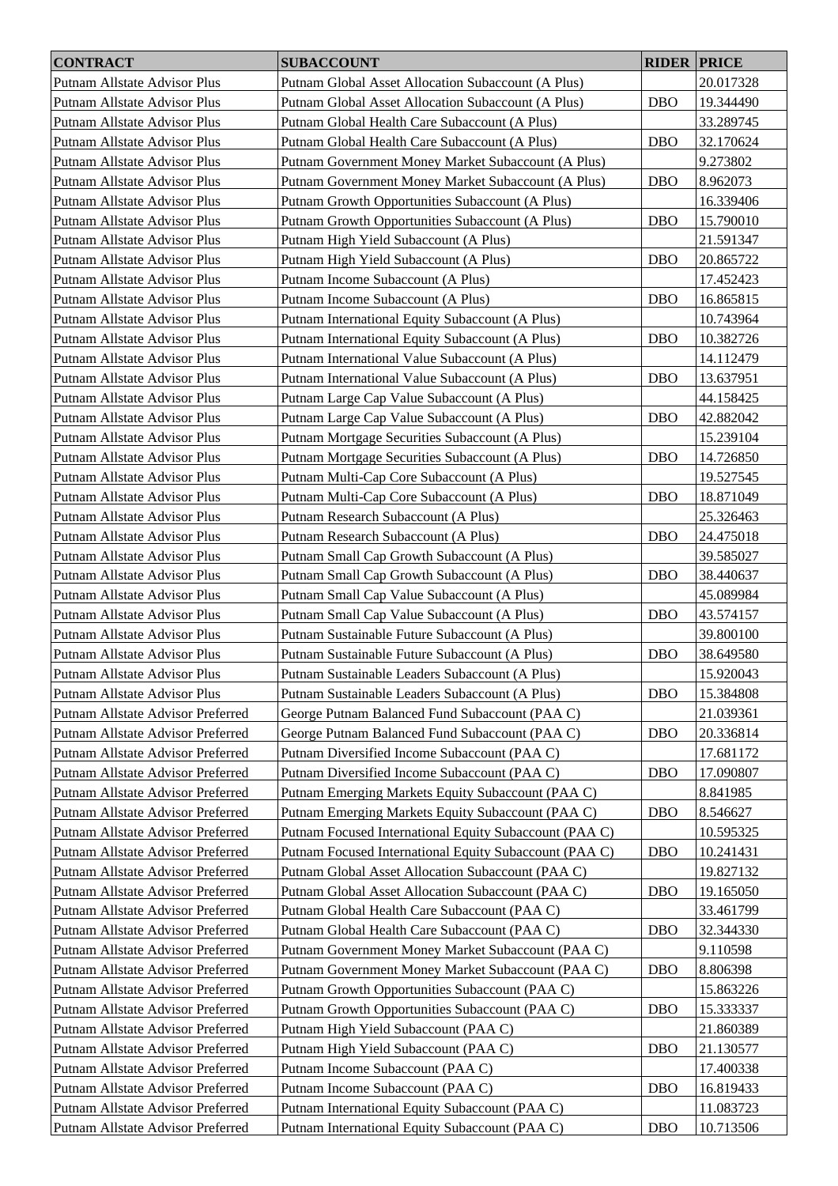| <b>CONTRACT</b>                   | <b>SUBACCOUNT</b>                                      | <b>RIDER PRICE</b> |           |
|-----------------------------------|--------------------------------------------------------|--------------------|-----------|
| Putnam Allstate Advisor Plus      | Putnam Global Asset Allocation Subaccount (A Plus)     |                    | 20.017328 |
| Putnam Allstate Advisor Plus      | Putnam Global Asset Allocation Subaccount (A Plus)     | <b>DBO</b>         | 19.344490 |
| Putnam Allstate Advisor Plus      | Putnam Global Health Care Subaccount (A Plus)          |                    | 33.289745 |
| Putnam Allstate Advisor Plus      | Putnam Global Health Care Subaccount (A Plus)          | <b>DBO</b>         | 32.170624 |
| Putnam Allstate Advisor Plus      | Putnam Government Money Market Subaccount (A Plus)     |                    | 9.273802  |
| Putnam Allstate Advisor Plus      | Putnam Government Money Market Subaccount (A Plus)     | <b>DBO</b>         | 8.962073  |
| Putnam Allstate Advisor Plus      | Putnam Growth Opportunities Subaccount (A Plus)        |                    | 16.339406 |
| Putnam Allstate Advisor Plus      | Putnam Growth Opportunities Subaccount (A Plus)        | <b>DBO</b>         | 15.790010 |
| Putnam Allstate Advisor Plus      | Putnam High Yield Subaccount (A Plus)                  |                    | 21.591347 |
| Putnam Allstate Advisor Plus      | Putnam High Yield Subaccount (A Plus)                  | <b>DBO</b>         | 20.865722 |
| Putnam Allstate Advisor Plus      | Putnam Income Subaccount (A Plus)                      |                    |           |
|                                   | Putnam Income Subaccount (A Plus)                      | <b>DBO</b>         | 17.452423 |
| Putnam Allstate Advisor Plus      |                                                        |                    | 16.865815 |
| Putnam Allstate Advisor Plus      | Putnam International Equity Subaccount (A Plus)        |                    | 10.743964 |
| Putnam Allstate Advisor Plus      | Putnam International Equity Subaccount (A Plus)        | <b>DBO</b>         | 10.382726 |
| Putnam Allstate Advisor Plus      | Putnam International Value Subaccount (A Plus)         |                    | 14.112479 |
| Putnam Allstate Advisor Plus      | Putnam International Value Subaccount (A Plus)         | <b>DBO</b>         | 13.637951 |
| Putnam Allstate Advisor Plus      | Putnam Large Cap Value Subaccount (A Plus)             |                    | 44.158425 |
| Putnam Allstate Advisor Plus      | Putnam Large Cap Value Subaccount (A Plus)             | <b>DBO</b>         | 42.882042 |
| Putnam Allstate Advisor Plus      | Putnam Mortgage Securities Subaccount (A Plus)         |                    | 15.239104 |
| Putnam Allstate Advisor Plus      | Putnam Mortgage Securities Subaccount (A Plus)         | <b>DBO</b>         | 14.726850 |
| Putnam Allstate Advisor Plus      | Putnam Multi-Cap Core Subaccount (A Plus)              |                    | 19.527545 |
| Putnam Allstate Advisor Plus      | Putnam Multi-Cap Core Subaccount (A Plus)              | <b>DBO</b>         | 18.871049 |
| Putnam Allstate Advisor Plus      | Putnam Research Subaccount (A Plus)                    |                    | 25.326463 |
| Putnam Allstate Advisor Plus      | Putnam Research Subaccount (A Plus)                    | <b>DBO</b>         | 24.475018 |
| Putnam Allstate Advisor Plus      | Putnam Small Cap Growth Subaccount (A Plus)            |                    | 39.585027 |
| Putnam Allstate Advisor Plus      | Putnam Small Cap Growth Subaccount (A Plus)            | <b>DBO</b>         | 38.440637 |
| Putnam Allstate Advisor Plus      | Putnam Small Cap Value Subaccount (A Plus)             |                    | 45.089984 |
| Putnam Allstate Advisor Plus      | Putnam Small Cap Value Subaccount (A Plus)             | <b>DBO</b>         | 43.574157 |
| Putnam Allstate Advisor Plus      | Putnam Sustainable Future Subaccount (A Plus)          |                    | 39.800100 |
| Putnam Allstate Advisor Plus      | Putnam Sustainable Future Subaccount (A Plus)          | <b>DBO</b>         | 38.649580 |
| Putnam Allstate Advisor Plus      | Putnam Sustainable Leaders Subaccount (A Plus)         |                    | 15.920043 |
| Putnam Allstate Advisor Plus      | Putnam Sustainable Leaders Subaccount (A Plus)         | <b>DBO</b>         | 15.384808 |
| Putnam Allstate Advisor Preferred | George Putnam Balanced Fund Subaccount (PAA C)         |                    | 21.039361 |
| Putnam Allstate Advisor Preferred | George Putnam Balanced Fund Subaccount (PAA C)         | <b>DBO</b>         | 20.336814 |
| Putnam Allstate Advisor Preferred | Putnam Diversified Income Subaccount (PAA C)           |                    | 17.681172 |
| Putnam Allstate Advisor Preferred | Putnam Diversified Income Subaccount (PAA C)           | <b>DBO</b>         | 17.090807 |
| Putnam Allstate Advisor Preferred | Putnam Emerging Markets Equity Subaccount (PAA C)      |                    | 8.841985  |
| Putnam Allstate Advisor Preferred | Putnam Emerging Markets Equity Subaccount (PAA C)      | <b>DBO</b>         | 8.546627  |
| Putnam Allstate Advisor Preferred | Putnam Focused International Equity Subaccount (PAA C) |                    | 10.595325 |
| Putnam Allstate Advisor Preferred | Putnam Focused International Equity Subaccount (PAA C) | <b>DBO</b>         | 10.241431 |
| Putnam Allstate Advisor Preferred | Putnam Global Asset Allocation Subaccount (PAA C)      |                    | 19.827132 |
| Putnam Allstate Advisor Preferred | Putnam Global Asset Allocation Subaccount (PAA C)      | <b>DBO</b>         | 19.165050 |
| Putnam Allstate Advisor Preferred | Putnam Global Health Care Subaccount (PAA C)           |                    | 33.461799 |
| Putnam Allstate Advisor Preferred | Putnam Global Health Care Subaccount (PAA C)           | <b>DBO</b>         | 32.344330 |
| Putnam Allstate Advisor Preferred | Putnam Government Money Market Subaccount (PAA C)      |                    | 9.110598  |
| Putnam Allstate Advisor Preferred | Putnam Government Money Market Subaccount (PAA C)      | <b>DBO</b>         | 8.806398  |
| Putnam Allstate Advisor Preferred | Putnam Growth Opportunities Subaccount (PAA C)         |                    | 15.863226 |
| Putnam Allstate Advisor Preferred | Putnam Growth Opportunities Subaccount (PAA C)         | <b>DBO</b>         | 15.333337 |
| Putnam Allstate Advisor Preferred | Putnam High Yield Subaccount (PAA C)                   |                    | 21.860389 |
| Putnam Allstate Advisor Preferred | Putnam High Yield Subaccount (PAA C)                   | <b>DBO</b>         | 21.130577 |
| Putnam Allstate Advisor Preferred | Putnam Income Subaccount (PAA C)                       |                    | 17.400338 |
| Putnam Allstate Advisor Preferred | Putnam Income Subaccount (PAA C)                       | <b>DBO</b>         | 16.819433 |
| Putnam Allstate Advisor Preferred | Putnam International Equity Subaccount (PAA C)         |                    | 11.083723 |
| Putnam Allstate Advisor Preferred | Putnam International Equity Subaccount (PAA C)         | <b>DBO</b>         | 10.713506 |